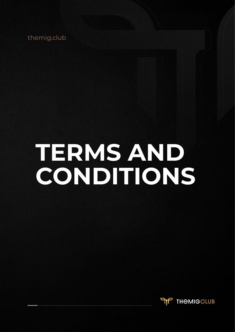themig.club

# **TERMS AND CONDITIONS**

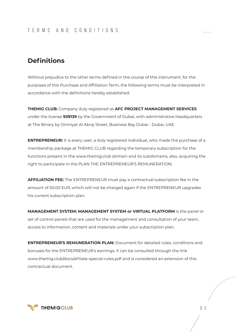# **Definitions**

Without prejudice to the other terms defined in the course of this instrument, for the purposes of this Purchase and Affiliation Term, the following terms must be interpreted in accordance with the definitions hereby established:

**THEMIG CLUB:** Company duly registered as **AFC PROJECT MANAGEMENT SERVICES** under the license **939139** by the Government of Dubai, with administrative headquarters at The Binary by Omniyat Al Abraj Street, Business Bay Dubai - Dubai, UAE.

**ENTREPRENEUR:** It is every user, a duly registered individual, who made the purchase of a membership package at THEMIG CLUB regarding the temporary subscription for the functions present in the www.themig.club domain and its subdomains, also, acquiring the right to participate in the PLAN THE ENTREPRENEUR'S REMUNERATION;

**AFFILIATION FEE:** The ENTREPRENEUR must pay a contractual subscription fee in the amount of 50.00 EUR, which will not be charged again if the ENTREPRENEUR upgrades his current subscription plan.

**MANAGEMENT SYSTEM: MANAGEMENT SYSTEM or VIRTUAL PLATFORM** is the panel or set of control panels that are used for the management and consultation of your team, access to information, content and materials under your subscription plan.

**ENTREPRENEUR'S REMUNERATION PLAN:** Document for detailed rules, conditions and bonuses for the ENTREPRENEUR's earnings. It can be consulted through the link www.themig.club/docs/afiliate-special-rules.pdf and is considered an extension of this contractual document.

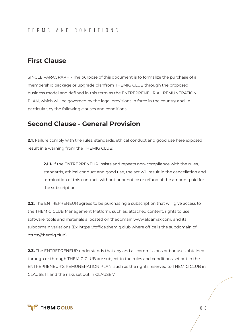## **First Clause**

SINGLE PARAGRAPH - The purpose of this document is to formalize the purchase of a membership package or upgrade planfrom THEMIG CLUB through the proposed business model and defined in this term as the ENTREPRENEURIAL REMUNERATION PLAN, which will be governed by the legal provisions in force in the country and, in particular, by the following clauses and conditions.

#### **Second Clause - General Provision**

**2.1.** Failure comply with the rules, standards, ethical conduct and good use here exposed result in a warning from the THEMIG CLUB;

**2.1.1.** If the ENTREPRENEUR insists and repeats non-compliance with the rules, standards, ethical conduct and good use, the act will result in the cancellation and termination of this contract, without prior notice or refund of the amount paid for the subscription.

**2.2.** The ENTREPRENEUR agrees to be purchasing a subscription that will give access to the THEMIG CLUB Management Platform, such as, attached content, rights to use software, tools and materials allocated on thedomain www.aldamax.com, and its subdomain variations (Ex: https : //office.themig.club where office is the subdomain of https://themig.club).

**2.3.** The ENTREPRENEUR understands that any and all commissions or bonuses obtained through or through THEMIG CLUB are subject to the rules and conditions set out in the ENTREPRENEUR'S REMUNERATION PLAN, such as the rights reserved to THEMIG CLUB in CLAUSE 11, and the risks set out in CLAUSE 7

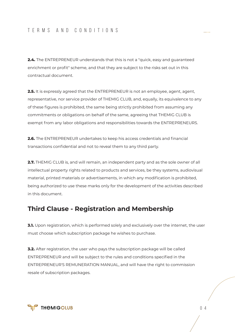**2.4.** The ENTREPRENEUR understands that this is not a "quick, easy and guaranteed enrichment or profit" scheme, and that they are subject to the risks set out in this contractual document.

**2.5.** It is expressly agreed that the ENTREPRENEUR is not an employee, agent, agent, representative, nor service provider of THEMIG CLUB, and, equally, its equivalence to any of these figures is prohibited, the same being strictly prohibited from assuming any commitments or obligations on behalf of the same, agreeing that THEMIG CLUB is exempt from any labor obligations and responsibilities towards the ENTREPRENEURS.

**2.6.** The ENTREPRENEUR undertakes to keep his access credentials and financial transactions confidential and not to reveal them to any third party.

**2.7.** THEMIG CLUB is, and will remain, an independent party and as the sole owner of all intellectual property rights related to products and services, be they systems, audiovisual material, printed materials or advertisements, in which any modification is prohibited, being authorized to use these marks only for the development of the activities described in this document.

#### **Third Clause - Registration and Membership**

**3.1.** Upon registration, which is performed solely and exclusively over the internet, the user must choose which subscription package he wishes to purchase.

**3.2.** After registration, the user who pays the subscription package will be called ENTREPRENEUR and will be subject to the rules and conditions specified in the ENTREPRENEUR'S REMUNERATION MANUAL, and will have the right to commission resale of subscription packages.

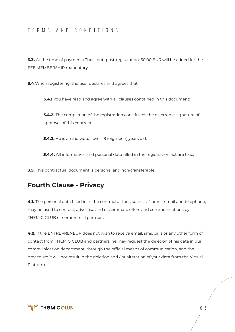#### TERMS AND CONDITIONS

**3.3.** At the time of payment (Checkout) post-registration, 50.00 EUR will be added for the FEE MEMBERSHIP mandatory.

**3.4** When registering, the user declares and agrees that:

**3.4.1** You have read and agree with all clauses contained in this document;

**3.4.2.** The completion of the registration constitutes the electronic signature of approval of this contract;

**3.4.3.** He is an individual over 18 (eighteen) years old;

**3.4.4.** All information and personal data filled in the registration act are true;

**3.5.** This contractual document is personal and non-transferable.

### **Fourth Clause - Privacy**

**4.1.** The personal data filled in in the contractual act, such as: Name, e-mail and telephone, may be used to contact, advertise and disseminate offers and communications by THEMIG CLUB or commercial partners.

4.2. If the ENTREPRENEUR does not wish to receive email, sms, calls or any other form of contact from THEMIG CLUB and partners, he may request the deletion of his data in our communication department, through the official means of communication, and the procedure it will not result in the deletion and / or alteration of your data from the Virtual Platform.

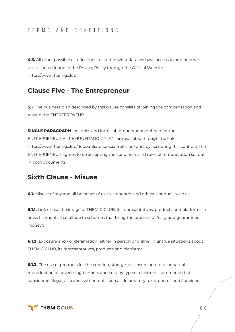**4.3.** All other possible clarifications related to what data we have access to and how we use it can be found in the Privacy Policy through the Official Website: https://www.themig.club

#### **Clause Five - The Entrepreneur**

**5.1.** The business plan described by this clause consists of joining the compensation and reward the ENTREPRENEUR.

**SINGLE PARAGRAPH** - All rules and forms of remuneration defined for the ENTREPRENEURIAL REMUNERATION PLAN: are available through the link https://www.themig.club/docs/afiliate-special-rules.pdf and, by accepting this contract, the ENTREPRENEUR agrees to be accepting the conditions and rules of remuneration set out in both documents.

#### **Sixth Clause - Misuse**

**6.1.** Misuse of any and all breaches of rules, standards and ethical conduct, such as:

**6.1.1.** Link or use the image of THEMIG CLUB, its representatives, products and platforms in advertisements that allude to schemes that bring the promise of "easy and guaranteed money";

**6.1.2.** Exposure and / or defamation (either in person or online) in untrue situations about THEMIG CLUB, its representatives, products and platforms;

**6.1.3.** The use of products for the creation, storage, disclosure and total or partial reproduction of advertising banners and / or any type of electronic commerce that is considered illegal, also abusive content, such as defamatory texts, photos and / or videos,

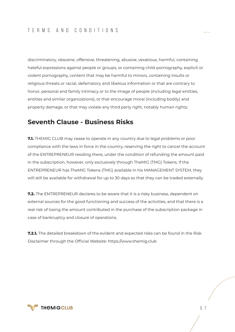discriminatory, obscene, offensive, threatening, abusive, vexatious, harmful, containing hateful expressions against people or groups, or containing child pornography, explicit or violent pornography, content that may be harmful to minors, containing insults or religious threats or racial, defamatory and libelous information or that are contrary to honor, personal and family intimacy or to the image of people (including legal entities, entities and similar organizations), or that encourage moral (including bodily) and property damage, or that may violate any third party right, notably human rights;

#### **Seventh Clause - Business Risks**

**7.1.** THEMIG CLUB may cease to operate in any country due to legal problems or poor compliance with the laws in force in the country, reserving the right to cancel the account of the ENTREPRENEUR residing there, under the condition of refunding the amount paid in the subscription, however, only exclusively through TheMIG (TMG) Tokens. If the ENTREPRENEUR has TheMIG Tokens (TMG) available in his MANAGEMENT SYSTEM, they will still be available for withdrawal for up to 30 days so that they can be traded externally.

**7.2.** The ENTREPRENEUR declares to be aware that it is a risky business, dependent on external sources for the good functioning and success of the activities, and that there is a real risk of losing the amount contributed in the purchase of the subscription package in case of bankruptcy and closure of operations.

**7.2.1.** The detailed breakdown of the evident and expected risks can be found in the Risk Disclaimer through the Official Website: https://www.themig.club

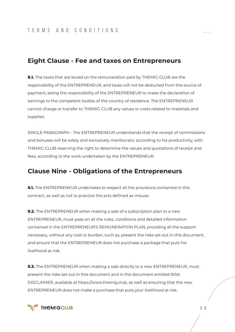#### **Eight Clause - Fee and taxes on Entrepreneurs**

**8.1.** The taxes that are levied on the remuneration paid by THEMIG CLUB are the responsibility of the ENTREPRENEUR, and taxes will not be deducted from the source of payment, being the responsibility of the ENTREPRENEUR to make the declaration of earnings to the competent bodies of the country of residence. The ENTREPRENEUR cannot charge or transfer to THEMIG CLUB any values or costs related to materials and supplies.

SINGLE PARAGRAPH - The ENTREPRENEUR understands that the receipt of commissions and bonuses will be solely and exclusively meritocratic according to his productivity, with THEMIG CLUB reserving the right to determine the values and quotations of receipt and fees, according to the work undertaken by the ENTREPRENEUR.

### **Clause Nine - Obligations of the Entrepreneurs**

**9.1.** The ENTREPRENEUR undertakes to respect all the provisions contained in this contract, as well as not to practice the acts defined as misuse.

**9.2.** The ENTREPRENEUR when making a sale of a subscription plan to a new ENTREPRENEUR, must pass on all the rules, conditions and detailed information contained in the ENTREPRENEUR'S REMUNERATION PLAN, providing all the support necessary, without any cost or burden, such as, present the risks set out in this document, and ensure that the ENTREPRENEUR does not purchase a package that puts his livelihood at risk.

**9.3.** The ENTREPRENEUR when making a sale directly to a new ENTREPRENEUR, must present the risks set out in this document and in the document entitled RISK DISCLAIMER, available at https://www.themig.club, as well as ensuring that the new ENTREPRENEUR does not make a purchase that puts your livelihood at risk.

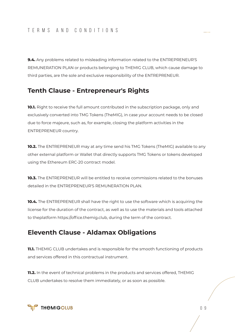**9.4.** Any problems related to misleading information related to the ENTREPRENEUR'S REMUNERATION PLAN or products belonging to THEMIG CLUB, which cause damage to third parties, are the sole and exclusive responsibility of the ENTREPRENEUR.

#### **Tenth Clause - Entrepreneur's Rights**

**10.1.** Right to receive the full amount contributed in the subscription package, only and exclusively converted into TMG Tokens (TheMIG), in case your account needs to be closed due to force majeure, such as, for example, closing the platform activities in the ENTREPRENEUR country.

**10.2.** The ENTREPRENEUR may at any time send his TMG Tokens (TheMIG) available to any other external platform or Wallet that directly supports TMG Tokens or tokens developed using the Ethereum ERC-20 contract model.

**10.3.** The ENTREPRENEUR will be entitled to receive commissions related to the bonuses detailed in the ENTREPRENEUR'S REMUNERATION PLAN.

**10.4.** The ENTREPRENEUR shall have the right to use the software which is acquiring the license for the duration of the contract, as well as to use the materials and tools attached to theplatform https://office.themig.club, during the term of the contract.

# **Eleventh Clause - Aldamax Obligations**

**11.1.** THEMIG CLUB undertakes and is responsible for the smooth functioning of products and services offered in this contractual instrument.

**11.2.** In the event of technical problems in the products and services offered, THEMIG CLUB undertakes to resolve them immediately, or as soon as possible.

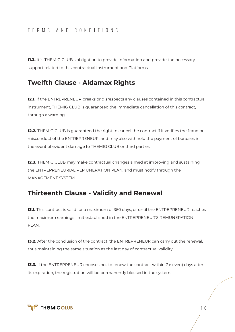#### TERMS AND CONDITIONS

**11.3.** It is THEMIG CLUB's obligation to provide information and provide the necessary support related to this contractual instrument and Platforms.

### **Twelfth Clause - Aldamax Rights**

**12.1.** If the ENTREPRENEUR breaks or disrespects any clauses contained in this contractual instrument, THEMIG CLUB is guaranteed the immediate cancellation of this contract, through a warning.

**12.2.** THEMIG CLUB is guaranteed the right to cancel the contract if it verifies the fraud or misconduct of the ENTREPRENEUR, and may also withhold the payment of bonuses in the event of evident damage to THEMIG CLUB or third parties.

**12.3.** THEMIG CLUB may make contractual changes aimed at improving and sustaining the ENTREPRENEURIAL REMUNERATION PLAN, and must notify through the MANAGEMENT SYSTEM.

#### **Thirteenth Clause - Validity and Renewal**

**13.1.** This contract is valid for a maximum of 360 days, or until the ENTREPRENEUR reaches the maximum earnings limit established in the ENTREPRENEUR'S REMUNERATION PLAN.

**13.2.** After the conclusion of the contract, the ENTREPRENEUR can carry out the renewal, thus maintaining the same situation as the last day of contractual validity.

**13.3.** If the ENTREPRENEUR chooses not to renew the contract within 7 (seven) days after its expiration, the registration will be permanently blocked in the system.